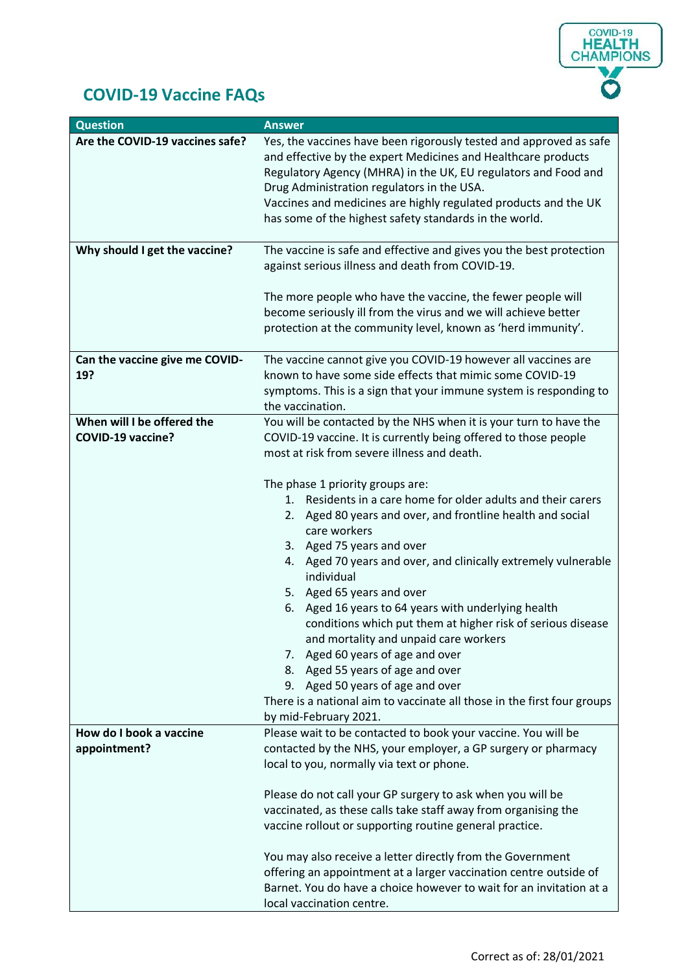

## **COVID-19 Vaccine FAQs**

| <b>Question</b>                                        | <b>Answer</b>                                                                                                                                                                                                                                                                                                                                                                                                                                                                                  |
|--------------------------------------------------------|------------------------------------------------------------------------------------------------------------------------------------------------------------------------------------------------------------------------------------------------------------------------------------------------------------------------------------------------------------------------------------------------------------------------------------------------------------------------------------------------|
| Are the COVID-19 vaccines safe?                        | Yes, the vaccines have been rigorously tested and approved as safe<br>and effective by the expert Medicines and Healthcare products<br>Regulatory Agency (MHRA) in the UK, EU regulators and Food and<br>Drug Administration regulators in the USA.<br>Vaccines and medicines are highly regulated products and the UK<br>has some of the highest safety standards in the world.                                                                                                               |
| Why should I get the vaccine?                          | The vaccine is safe and effective and gives you the best protection<br>against serious illness and death from COVID-19.                                                                                                                                                                                                                                                                                                                                                                        |
|                                                        | The more people who have the vaccine, the fewer people will<br>become seriously ill from the virus and we will achieve better<br>protection at the community level, known as 'herd immunity'.                                                                                                                                                                                                                                                                                                  |
| Can the vaccine give me COVID-<br>19?                  | The vaccine cannot give you COVID-19 however all vaccines are<br>known to have some side effects that mimic some COVID-19<br>symptoms. This is a sign that your immune system is responding to<br>the vaccination.                                                                                                                                                                                                                                                                             |
| When will I be offered the<br><b>COVID-19 vaccine?</b> | You will be contacted by the NHS when it is your turn to have the<br>COVID-19 vaccine. It is currently being offered to those people<br>most at risk from severe illness and death.                                                                                                                                                                                                                                                                                                            |
|                                                        | The phase 1 priority groups are:<br>Residents in a care home for older adults and their carers<br>1.<br>2. Aged 80 years and over, and frontline health and social<br>care workers<br>3. Aged 75 years and over<br>4. Aged 70 years and over, and clinically extremely vulnerable<br>individual<br>5. Aged 65 years and over<br>Aged 16 years to 64 years with underlying health<br>6.<br>conditions which put them at higher risk of serious disease<br>and mortality and unpaid care workers |
|                                                        | Aged 60 years of age and over<br>7.<br>8. Aged 55 years of age and over<br>Aged 50 years of age and over<br>9.<br>There is a national aim to vaccinate all those in the first four groups<br>by mid-February 2021.                                                                                                                                                                                                                                                                             |
| How do I book a vaccine<br>appointment?                | Please wait to be contacted to book your vaccine. You will be<br>contacted by the NHS, your employer, a GP surgery or pharmacy<br>local to you, normally via text or phone.                                                                                                                                                                                                                                                                                                                    |
|                                                        | Please do not call your GP surgery to ask when you will be<br>vaccinated, as these calls take staff away from organising the<br>vaccine rollout or supporting routine general practice.                                                                                                                                                                                                                                                                                                        |
|                                                        | You may also receive a letter directly from the Government<br>offering an appointment at a larger vaccination centre outside of<br>Barnet. You do have a choice however to wait for an invitation at a<br>local vaccination centre.                                                                                                                                                                                                                                                            |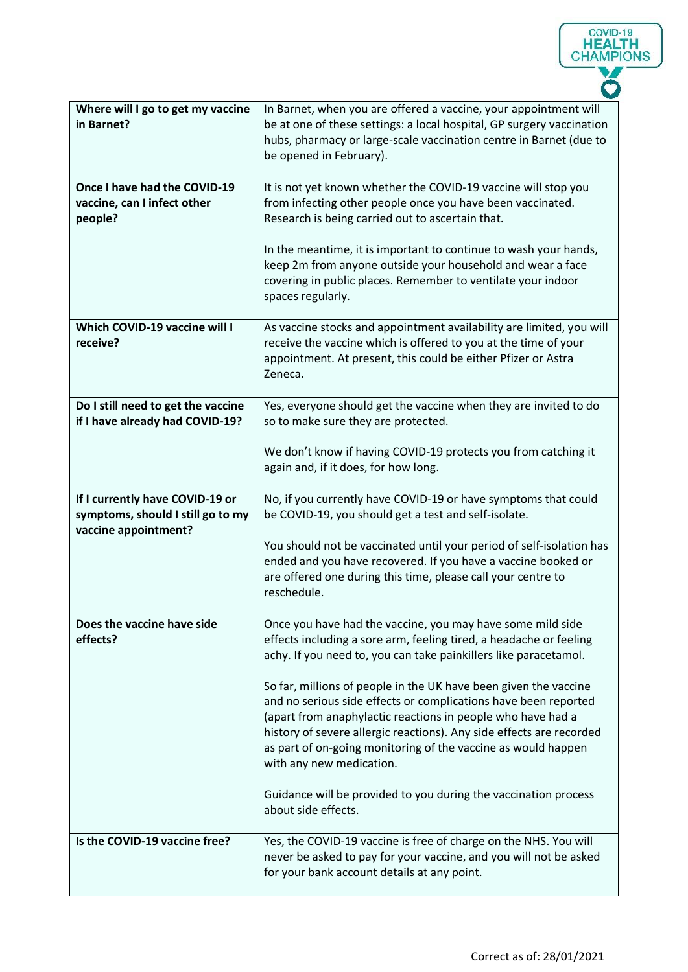| Where will I go to get my vaccine<br>in Barnet?                                              | In Barnet, when you are offered a vaccine, your appointment will<br>be at one of these settings: a local hospital, GP surgery vaccination<br>hubs, pharmacy or large-scale vaccination centre in Barnet (due to<br>be opened in February).                                                                                                                              |
|----------------------------------------------------------------------------------------------|-------------------------------------------------------------------------------------------------------------------------------------------------------------------------------------------------------------------------------------------------------------------------------------------------------------------------------------------------------------------------|
| Once I have had the COVID-19<br>vaccine, can I infect other<br>people?                       | It is not yet known whether the COVID-19 vaccine will stop you<br>from infecting other people once you have been vaccinated.<br>Research is being carried out to ascertain that.                                                                                                                                                                                        |
|                                                                                              | In the meantime, it is important to continue to wash your hands,<br>keep 2m from anyone outside your household and wear a face<br>covering in public places. Remember to ventilate your indoor<br>spaces regularly.                                                                                                                                                     |
| <b>Which COVID-19 vaccine will I</b><br>receive?                                             | As vaccine stocks and appointment availability are limited, you will<br>receive the vaccine which is offered to you at the time of your<br>appointment. At present, this could be either Pfizer or Astra<br>Zeneca.                                                                                                                                                     |
| Do I still need to get the vaccine<br>if I have already had COVID-19?                        | Yes, everyone should get the vaccine when they are invited to do<br>so to make sure they are protected.                                                                                                                                                                                                                                                                 |
|                                                                                              | We don't know if having COVID-19 protects you from catching it<br>again and, if it does, for how long.                                                                                                                                                                                                                                                                  |
| If I currently have COVID-19 or<br>symptoms, should I still go to my<br>vaccine appointment? | No, if you currently have COVID-19 or have symptoms that could<br>be COVID-19, you should get a test and self-isolate.                                                                                                                                                                                                                                                  |
|                                                                                              | You should not be vaccinated until your period of self-isolation has<br>ended and you have recovered. If you have a vaccine booked or<br>are offered one during this time, please call your centre to<br>reschedule.                                                                                                                                                    |
| Does the vaccine have side<br>effects?                                                       | Once you have had the vaccine, you may have some mild side<br>effects including a sore arm, feeling tired, a headache or feeling<br>achy. If you need to, you can take painkillers like paracetamol.                                                                                                                                                                    |
|                                                                                              | So far, millions of people in the UK have been given the vaccine<br>and no serious side effects or complications have been reported<br>(apart from anaphylactic reactions in people who have had a<br>history of severe allergic reactions). Any side effects are recorded<br>as part of on-going monitoring of the vaccine as would happen<br>with any new medication. |
|                                                                                              | Guidance will be provided to you during the vaccination process<br>about side effects.                                                                                                                                                                                                                                                                                  |
| Is the COVID-19 vaccine free?                                                                | Yes, the COVID-19 vaccine is free of charge on the NHS. You will<br>never be asked to pay for your vaccine, and you will not be asked<br>for your bank account details at any point.                                                                                                                                                                                    |

COVID-19<br> **HEALTH**<br>
CHAMPIONS

V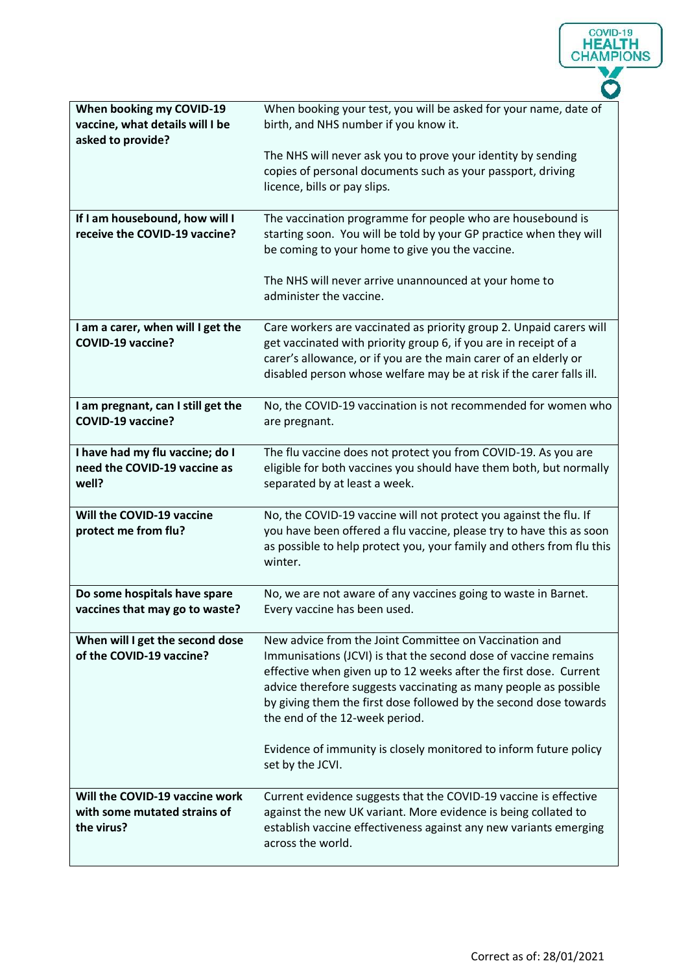| When booking my COVID-19<br>vaccine, what details will I be<br>asked to provide? | When booking your test, you will be asked for your name, date of<br>birth, and NHS number if you know it.                                                                                                                                                                                                                                                                 |
|----------------------------------------------------------------------------------|---------------------------------------------------------------------------------------------------------------------------------------------------------------------------------------------------------------------------------------------------------------------------------------------------------------------------------------------------------------------------|
|                                                                                  | The NHS will never ask you to prove your identity by sending<br>copies of personal documents such as your passport, driving<br>licence, bills or pay slips.                                                                                                                                                                                                               |
| If I am housebound, how will I<br>receive the COVID-19 vaccine?                  | The vaccination programme for people who are housebound is<br>starting soon. You will be told by your GP practice when they will<br>be coming to your home to give you the vaccine.                                                                                                                                                                                       |
|                                                                                  | The NHS will never arrive unannounced at your home to<br>administer the vaccine.                                                                                                                                                                                                                                                                                          |
| I am a carer, when will I get the<br><b>COVID-19 vaccine?</b>                    | Care workers are vaccinated as priority group 2. Unpaid carers will<br>get vaccinated with priority group 6, if you are in receipt of a<br>carer's allowance, or if you are the main carer of an elderly or<br>disabled person whose welfare may be at risk if the carer falls ill.                                                                                       |
| I am pregnant, can I still get the<br><b>COVID-19 vaccine?</b>                   | No, the COVID-19 vaccination is not recommended for women who<br>are pregnant.                                                                                                                                                                                                                                                                                            |
| I have had my flu vaccine; do I<br>need the COVID-19 vaccine as<br>well?         | The flu vaccine does not protect you from COVID-19. As you are<br>eligible for both vaccines you should have them both, but normally<br>separated by at least a week.                                                                                                                                                                                                     |
| Will the COVID-19 vaccine<br>protect me from flu?                                | No, the COVID-19 vaccine will not protect you against the flu. If<br>you have been offered a flu vaccine, please try to have this as soon<br>as possible to help protect you, your family and others from flu this<br>winter.                                                                                                                                             |
| Do some hospitals have spare<br>vaccines that may go to waste?                   | No, we are not aware of any vaccines going to waste in Barnet.<br>Every vaccine has been used.                                                                                                                                                                                                                                                                            |
| When will I get the second dose<br>of the COVID-19 vaccine?                      | New advice from the Joint Committee on Vaccination and<br>Immunisations (JCVI) is that the second dose of vaccine remains<br>effective when given up to 12 weeks after the first dose. Current<br>advice therefore suggests vaccinating as many people as possible<br>by giving them the first dose followed by the second dose towards<br>the end of the 12-week period. |
|                                                                                  | Evidence of immunity is closely monitored to inform future policy<br>set by the JCVI.                                                                                                                                                                                                                                                                                     |
| Will the COVID-19 vaccine work<br>with some mutated strains of<br>the virus?     | Current evidence suggests that the COVID-19 vaccine is effective<br>against the new UK variant. More evidence is being collated to<br>establish vaccine effectiveness against any new variants emerging<br>across the world.                                                                                                                                              |

COVID-19<br> **HEALTH**<br>
CHAMPIONS

V